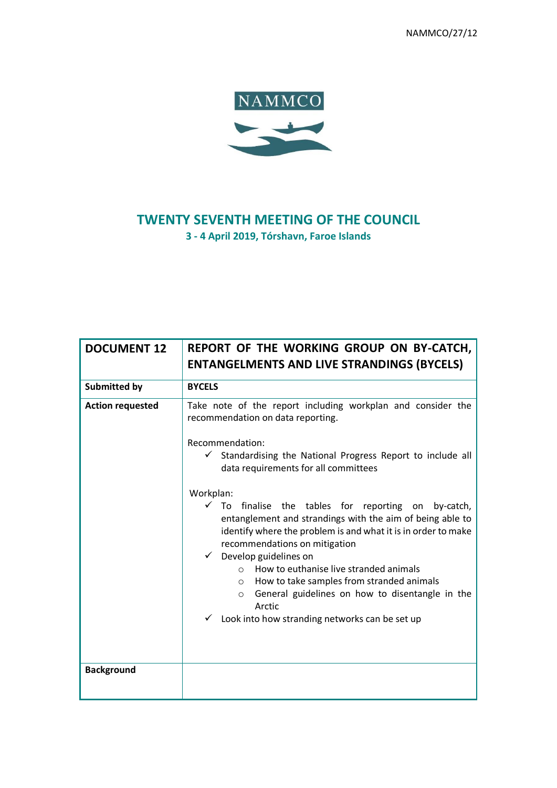NAMMCO/27/12



# **TWENTY SEVENTH MEETING OF THE COUNCIL**

**3 - 4 April 2019, Tórshavn, Faroe Islands**

| <b>DOCUMENT 12</b>      | REPORT OF THE WORKING GROUP ON BY-CATCH,<br><b>ENTANGELMENTS AND LIVE STRANDINGS (BYCELS)</b>                                                                                                                                                                                                                                                                                                                                                                                                                                        |
|-------------------------|--------------------------------------------------------------------------------------------------------------------------------------------------------------------------------------------------------------------------------------------------------------------------------------------------------------------------------------------------------------------------------------------------------------------------------------------------------------------------------------------------------------------------------------|
| <b>Submitted by</b>     | <b>BYCELS</b>                                                                                                                                                                                                                                                                                                                                                                                                                                                                                                                        |
| <b>Action requested</b> | Take note of the report including workplan and consider the<br>recommendation on data reporting.                                                                                                                                                                                                                                                                                                                                                                                                                                     |
|                         | Recommendation:<br>$\checkmark$<br>Standardising the National Progress Report to include all<br>data requirements for all committees                                                                                                                                                                                                                                                                                                                                                                                                 |
|                         | Workplan:<br>$\checkmark$<br>To<br>finalise the tables for reporting on<br>by-catch,<br>entanglement and strandings with the aim of being able to<br>identify where the problem is and what it is in order to make<br>recommendations on mitigation<br>Develop guidelines on<br>$\checkmark$<br>How to euthanise live stranded animals<br>$\Omega$<br>How to take samples from stranded animals<br>$\circ$<br>General guidelines on how to disentangle in the<br>$\circ$<br>Arctic<br>Look into how stranding networks can be set up |
| <b>Background</b>       |                                                                                                                                                                                                                                                                                                                                                                                                                                                                                                                                      |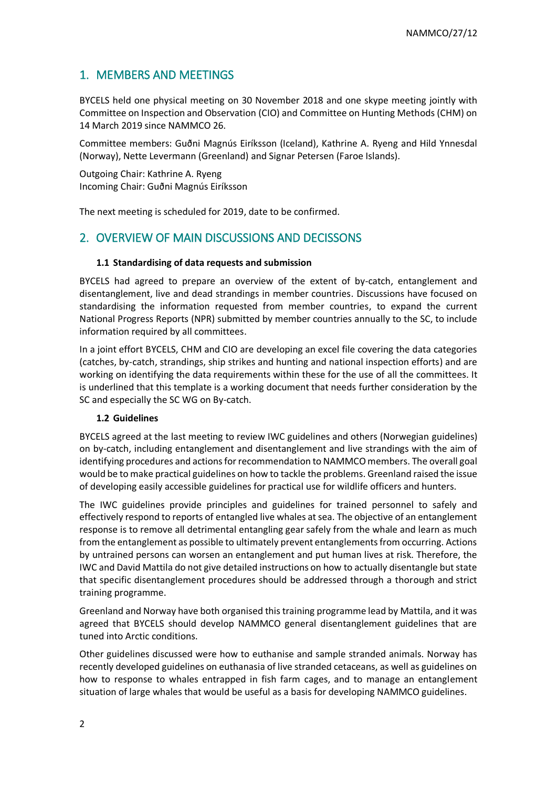## 1. MEMBERS AND MEETINGS

BYCELS held one physical meeting on 30 November 2018 and one skype meeting jointly with Committee on Inspection and Observation (CIO) and Committee on Hunting Methods (CHM) on 14 March 2019 since NAMMCO 26.

Committee members: Guðni Magnús Eiríksson (Iceland), Kathrine A. Ryeng and Hild Ynnesdal (Norway), Nette Levermann (Greenland) and Signar Petersen (Faroe Islands).

Outgoing Chair: Kathrine A. Ryeng Incoming Chair: Guðni Magnús Eiríksson

The next meeting is scheduled for 2019, date to be confirmed.

### 2. OVERVIEW OF MAIN DISCUSSIONS AND DECISSONS

#### **1.1 Standardising of data requests and submission**

BYCELS had agreed to prepare an overview of the extent of by-catch, entanglement and disentanglement, live and dead strandings in member countries. Discussions have focused on standardising the information requested from member countries, to expand the current National Progress Reports (NPR) submitted by member countries annually to the SC, to include information required by all committees.

In a joint effort BYCELS, CHM and CIO are developing an excel file covering the data categories (catches, by-catch, strandings, ship strikes and hunting and national inspection efforts) and are working on identifying the data requirements within these for the use of all the committees. It is underlined that this template is a working document that needs further consideration by the SC and especially the SC WG on By-catch.

#### **1.2 Guidelines**

BYCELS agreed at the last meeting to review IWC guidelines and others (Norwegian guidelines) on by-catch, including entanglement and disentanglement and live strandings with the aim of identifying procedures and actions for recommendation to NAMMCO members. The overall goal would be to make practical guidelines on how to tackle the problems. Greenland raised the issue of developing easily accessible guidelines for practical use for wildlife officers and hunters.

The IWC guidelines provide principles and guidelines for trained personnel to safely and effectively respond to reports of entangled live whales at sea. The objective of an entanglement response is to remove all detrimental entangling gear safely from the whale and learn as much from the entanglement as possible to ultimately prevent entanglements from occurring. Actions by untrained persons can worsen an entanglement and put human lives at risk. Therefore, the IWC and David Mattila do not give detailed instructions on how to actually disentangle but state that specific disentanglement procedures should be addressed through a thorough and strict training programme.

Greenland and Norway have both organised this training programme lead by Mattila, and it was agreed that BYCELS should develop NAMMCO general disentanglement guidelines that are tuned into Arctic conditions.

Other guidelines discussed were how to euthanise and sample stranded animals. Norway has recently developed guidelines on euthanasia of live stranded cetaceans, as well as guidelines on how to response to whales entrapped in fish farm cages, and to manage an entanglement situation of large whales that would be useful as a basis for developing NAMMCO guidelines.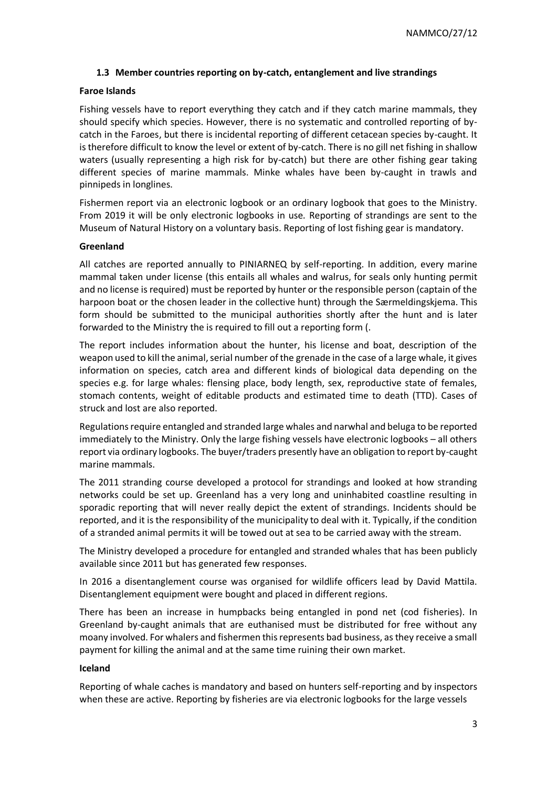#### **1.3 Member countries reporting on by-catch, entanglement and live strandings**

#### **Faroe Islands**

Fishing vessels have to report everything they catch and if they catch marine mammals, they should specify which species. However, there is no systematic and controlled reporting of bycatch in the Faroes, but there is incidental reporting of different cetacean species by-caught. It is therefore difficult to know the level or extent of by-catch. There is no gill net fishing in shallow waters (usually representing a high risk for by-catch) but there are other fishing gear taking different species of marine mammals. Minke whales have been by-caught in trawls and pinnipeds in longlines.

Fishermen report via an electronic logbook or an ordinary logbook that goes to the Ministry. From 2019 it will be only electronic logbooks in use. Reporting of strandings are sent to the Museum of Natural History on a voluntary basis. Reporting of lost fishing gear is mandatory.

#### **Greenland**

All catches are reported annually to PINIARNEQ by self-reporting. In addition, every marine mammal taken under license (this entails all whales and walrus, for seals only hunting permit and no license is required) must be reported by hunter or the responsible person (captain of the harpoon boat or the chosen leader in the collective hunt) through the Særmeldingskjema. This form should be submitted to the municipal authorities shortly after the hunt and is later forwarded to the Ministry the is required to fill out a reporting form (.

The report includes information about the hunter, his license and boat, description of the weapon used to kill the animal, serial number of the grenade in the case of a large whale, it gives information on species, catch area and different kinds of biological data depending on the species e.g. for large whales: flensing place, body length, sex, reproductive state of females, stomach contents, weight of editable products and estimated time to death (TTD). Cases of struck and lost are also reported.

Regulations require entangled and stranded large whales and narwhal and beluga to be reported immediately to the Ministry. Only the large fishing vessels have electronic logbooks – all others report via ordinary logbooks. The buyer/traders presently have an obligation to report by-caught marine mammals.

The 2011 stranding course developed a protocol for strandings and looked at how stranding networks could be set up. Greenland has a very long and uninhabited coastline resulting in sporadic reporting that will never really depict the extent of strandings. Incidents should be reported, and it is the responsibility of the municipality to deal with it. Typically, if the condition of a stranded animal permits it will be towed out at sea to be carried away with the stream.

The Ministry developed a procedure for entangled and stranded whales that has been publicly available since 2011 but has generated few responses.

In 2016 a disentanglement course was organised for wildlife officers lead by David Mattila. Disentanglement equipment were bought and placed in different regions.

There has been an increase in humpbacks being entangled in pond net (cod fisheries). In Greenland by-caught animals that are euthanised must be distributed for free without any moany involved. For whalers and fishermen this represents bad business, as they receive a small payment for killing the animal and at the same time ruining their own market.

#### **Iceland**

Reporting of whale caches is mandatory and based on hunters self-reporting and by inspectors when these are active. Reporting by fisheries are via electronic logbooks for the large vessels